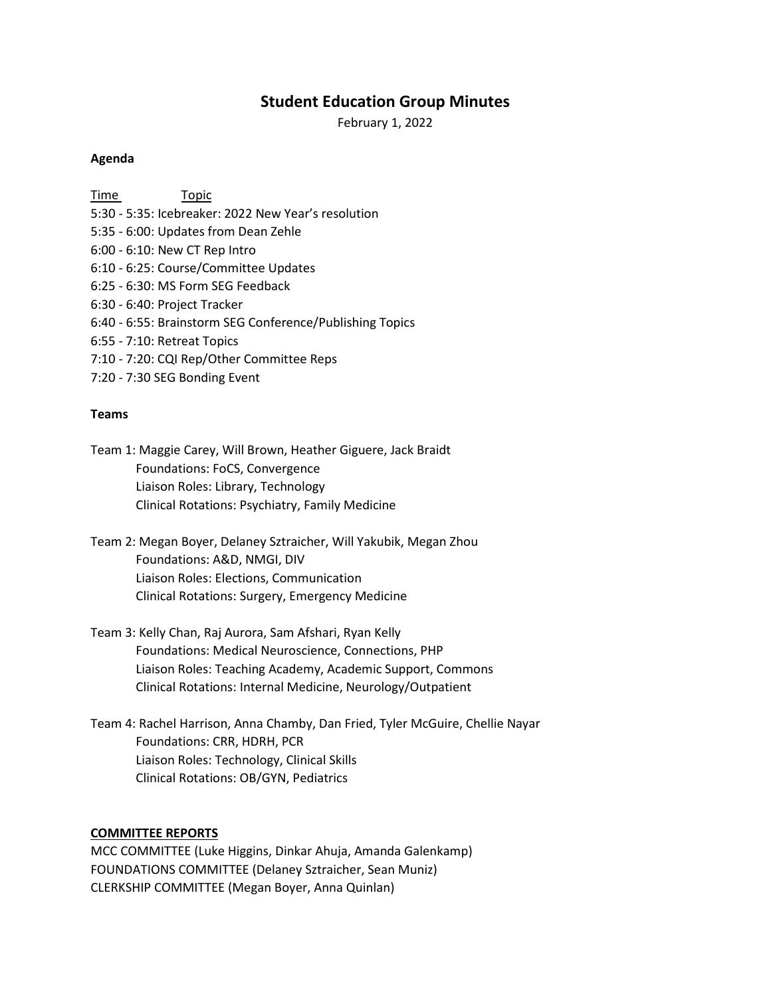# **Student Education Group Minutes**

February 1, 2022

#### **Agenda**

Time Topic 5:30 - 5:35: Icebreaker: 2022 New Year's resolution 5:35 - 6:00: Updates from Dean Zehle 6:00 - 6:10: New CT Rep Intro 6:10 - 6:25: Course/Committee Updates 6:25 - 6:30: MS Form SEG Feedback 6:30 - 6:40: Project Tracker 6:40 - 6:55: Brainstorm SEG Conference/Publishing Topics 6:55 - 7:10: Retreat Topics 7:10 - 7:20: CQI Rep/Other Committee Reps 7:20 - 7:30 SEG Bonding Event

#### **Teams**

- Team 1: Maggie Carey, Will Brown, Heather Giguere, Jack Braidt Foundations: FoCS, Convergence Liaison Roles: Library, Technology Clinical Rotations: Psychiatry, Family Medicine
- Team 2: Megan Boyer, Delaney Sztraicher, Will Yakubik, Megan Zhou Foundations: A&D, NMGI, DIV Liaison Roles: Elections, Communication Clinical Rotations: Surgery, Emergency Medicine
- Team 3: Kelly Chan, Raj Aurora, Sam Afshari, Ryan Kelly Foundations: Medical Neuroscience, Connections, PHP Liaison Roles: Teaching Academy, Academic Support, Commons Clinical Rotations: Internal Medicine, Neurology/Outpatient
- Team 4: Rachel Harrison, Anna Chamby, Dan Fried, Tyler McGuire, Chellie Nayar Foundations: CRR, HDRH, PCR Liaison Roles: Technology, Clinical Skills Clinical Rotations: OB/GYN, Pediatrics

### **COMMITTEE REPORTS**

MCC COMMITTEE (Luke Higgins, Dinkar Ahuja, Amanda Galenkamp) FOUNDATIONS COMMITTEE (Delaney Sztraicher, Sean Muniz) CLERKSHIP COMMITTEE (Megan Boyer, Anna Quinlan)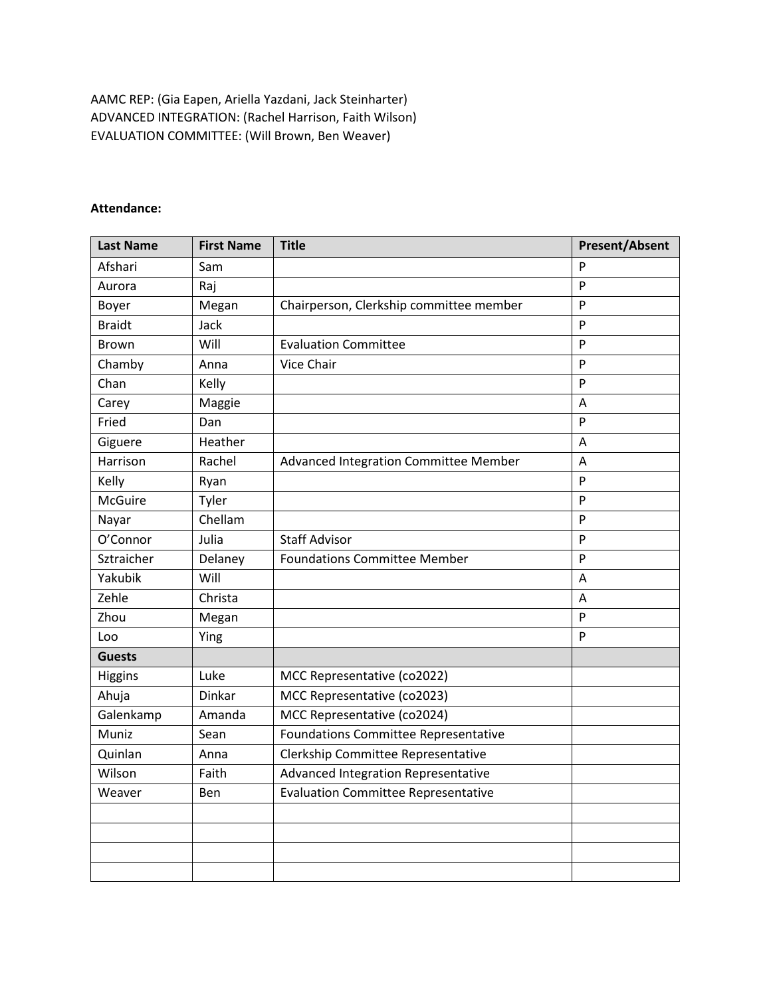AAMC REP: (Gia Eapen, Ariella Yazdani, Jack Steinharter) ADVANCED INTEGRATION: (Rachel Harrison, Faith Wilson) EVALUATION COMMITTEE: (Will Brown, Ben Weaver)

### **Attendance:**

| <b>Last Name</b> | <b>First Name</b> | <b>Title</b>                                | <b>Present/Absent</b> |
|------------------|-------------------|---------------------------------------------|-----------------------|
| Afshari          | Sam               |                                             | P                     |
| Aurora           | Raj               |                                             | P                     |
| Boyer            | Megan             | Chairperson, Clerkship committee member     | P                     |
| <b>Braidt</b>    | Jack              |                                             | P                     |
| <b>Brown</b>     | Will              | <b>Evaluation Committee</b>                 | P                     |
| Chamby           | Anna              | Vice Chair                                  | P                     |
| Chan             | Kelly             |                                             | P                     |
| Carey            | Maggie            |                                             | A                     |
| Fried            | Dan               |                                             | P                     |
| Giguere          | Heather           |                                             | Α                     |
| Harrison         | Rachel            | Advanced Integration Committee Member       | Α                     |
| Kelly            | Ryan              |                                             | P                     |
| <b>McGuire</b>   | Tyler             |                                             | P                     |
| Nayar            | Chellam           |                                             | P                     |
| O'Connor         | Julia             | <b>Staff Advisor</b>                        | P                     |
| Sztraicher       | Delaney           | <b>Foundations Committee Member</b>         | P                     |
| Yakubik          | Will              |                                             | A                     |
| Zehle            | Christa           |                                             | A                     |
| Zhou             | Megan             |                                             | P                     |
| Loo              | Ying              |                                             | P                     |
| <b>Guests</b>    |                   |                                             |                       |
| Higgins          | Luke              | MCC Representative (co2022)                 |                       |
| Ahuja            | Dinkar            | MCC Representative (co2023)                 |                       |
| Galenkamp        | Amanda            | MCC Representative (co2024)                 |                       |
| Muniz            | Sean              | <b>Foundations Committee Representative</b> |                       |
| Quinlan          | Anna              | Clerkship Committee Representative          |                       |
| Wilson           | Faith             | Advanced Integration Representative         |                       |
| Weaver           | Ben               | <b>Evaluation Committee Representative</b>  |                       |
|                  |                   |                                             |                       |
|                  |                   |                                             |                       |
|                  |                   |                                             |                       |
|                  |                   |                                             |                       |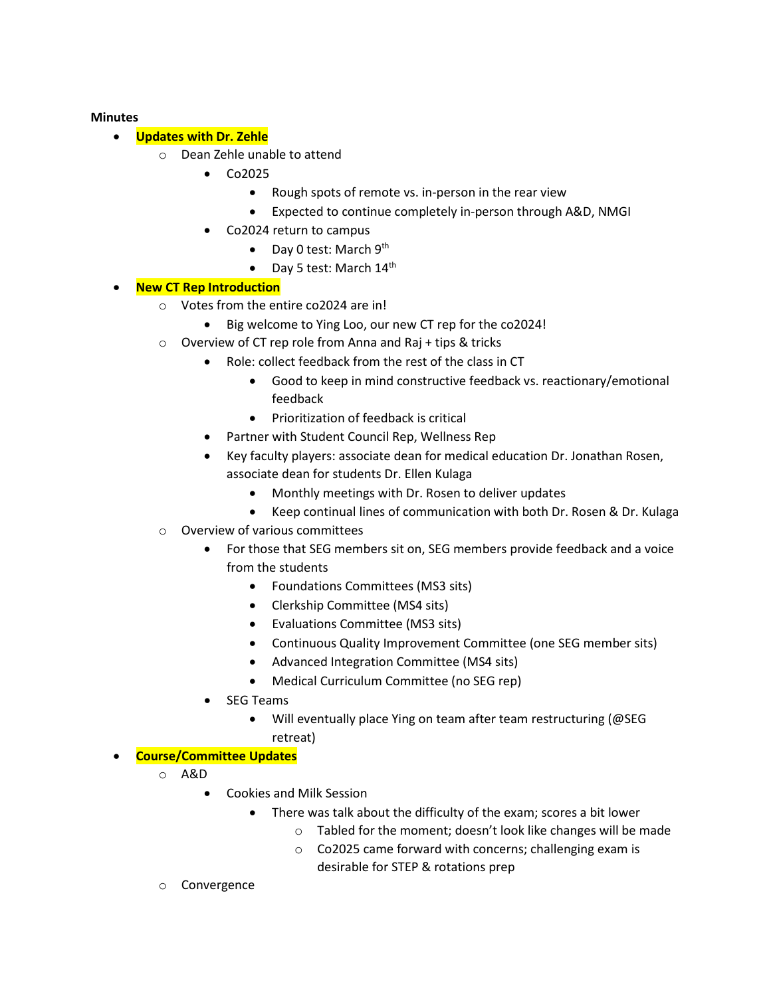### **Minutes**

- **Updates with Dr. Zehle**
	- o Dean Zehle unable to attend
		- Co2025
			- Rough spots of remote vs. in-person in the rear view
			- Expected to continue completely in-person through A&D, NMGI
		- Co2024 return to campus
			- Day 0 test: March  $9<sup>th</sup>$
			- Day 5 test: March  $14^{\text{th}}$

### • **New CT Rep Introduction**

- o Votes from the entire co2024 are in!
	- Big welcome to Ying Loo, our new CT rep for the co2024!
- o Overview of CT rep role from Anna and Raj + tips & tricks
	- Role: collect feedback from the rest of the class in CT
		- Good to keep in mind constructive feedback vs. reactionary/emotional feedback
		- Prioritization of feedback is critical
	- Partner with Student Council Rep, Wellness Rep
	- Key faculty players: associate dean for medical education Dr. Jonathan Rosen, associate dean for students Dr. Ellen Kulaga
		- Monthly meetings with Dr. Rosen to deliver updates
		- Keep continual lines of communication with both Dr. Rosen & Dr. Kulaga
- o Overview of various committees
	- For those that SEG members sit on, SEG members provide feedback and a voice from the students
		- Foundations Committees (MS3 sits)
		- Clerkship Committee (MS4 sits)
		- Evaluations Committee (MS3 sits)
		- Continuous Quality Improvement Committee (one SEG member sits)
		- Advanced Integration Committee (MS4 sits)
		- Medical Curriculum Committee (no SEG rep)
	- SEG Teams
		- Will eventually place Ying on team after team restructuring (@SEG retreat)

### • **Course/Committee Updates**

- o A&D
	- Cookies and Milk Session
		- There was talk about the difficulty of the exam; scores a bit lower
			- o Tabled for the moment; doesn't look like changes will be made
			- o Co2025 came forward with concerns; challenging exam is desirable for STEP & rotations prep
- o Convergence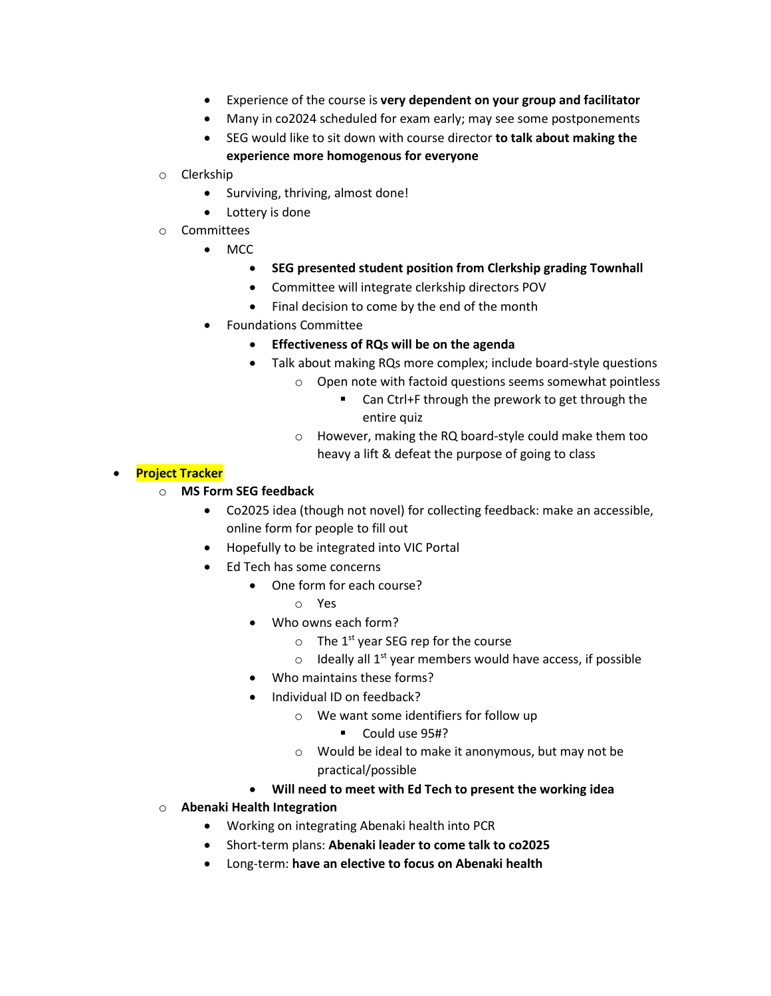- Experience of the course is **very dependent on your group and facilitator**
- Many in co2024 scheduled for exam early; may see some postponements
- SEG would like to sit down with course director **to talk about making the experience more homogenous for everyone**
- o Clerkship
	- Surviving, thriving, almost done!
	- Lottery is done
- o Committees
	- MCC
		- **SEG presented student position from Clerkship grading Townhall**
		- Committee will integrate clerkship directors POV
		- Final decision to come by the end of the month
	- Foundations Committee
		- **Effectiveness of RQs will be on the agenda**
		- Talk about making RQs more complex; include board-style questions
			- o Open note with factoid questions seems somewhat pointless
				- Can Ctrl+F through the prework to get through the entire quiz
			- o However, making the RQ board-style could make them too heavy a lift & defeat the purpose of going to class

### • **Project Tracker**

## o **MS Form SEG feedback**

- Co2025 idea (though not novel) for collecting feedback: make an accessible, online form for people to fill out
- Hopefully to be integrated into VIC Portal
- Ed Tech has some concerns
	- One form for each course?
		- o Yes
	- Who owns each form?
		- $\circ$  The 1<sup>st</sup> year SEG rep for the course
		- $\circ$  Ideally all 1<sup>st</sup> year members would have access, if possible
	- Who maintains these forms?
	- Individual ID on feedback?
		- o We want some identifiers for follow up
			- **Could use 95#?**
		- o Would be ideal to make it anonymous, but may not be practical/possible
	- **Will need to meet with Ed Tech to present the working idea**
- o **Abenaki Health Integration**
	- Working on integrating Abenaki health into PCR
	- Short-term plans: **Abenaki leader to come talk to co2025**
	- Long-term: **have an elective to focus on Abenaki health**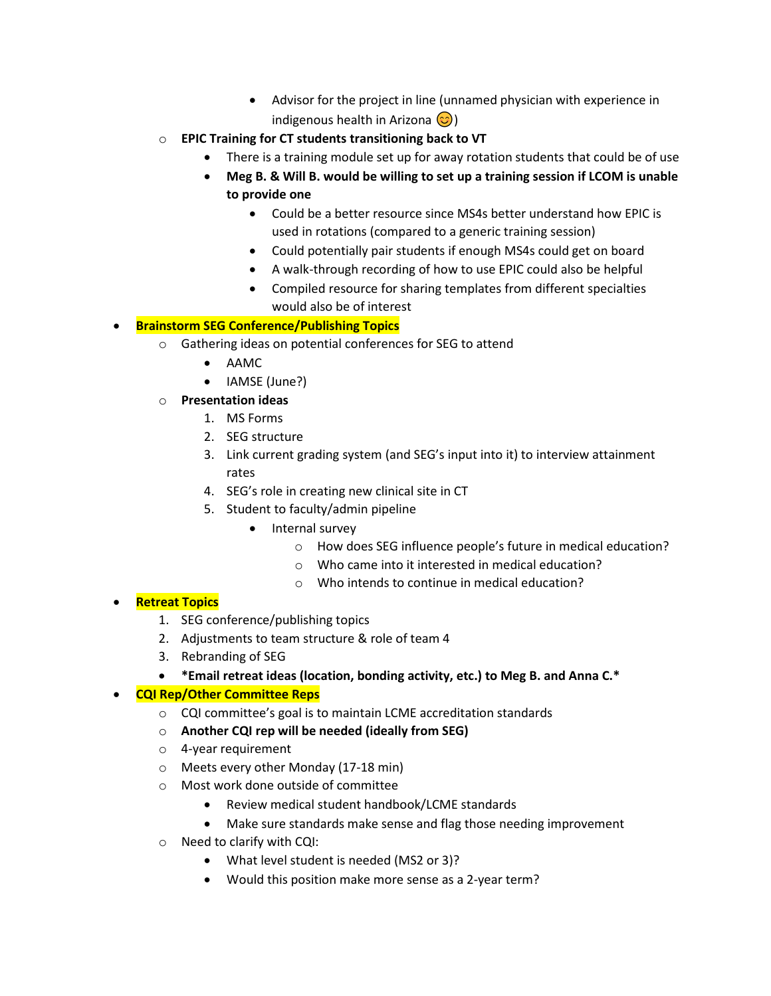- Advisor for the project in line (unnamed physician with experience in indigenous health in Arizona  $\circled{c}$ )
- o **EPIC Training for CT students transitioning back to VT**
	- There is a training module set up for away rotation students that could be of use
	- **Meg B. & Will B. would be willing to set up a training session if LCOM is unable to provide one**
		- Could be a better resource since MS4s better understand how EPIC is used in rotations (compared to a generic training session)
		- Could potentially pair students if enough MS4s could get on board
		- A walk-through recording of how to use EPIC could also be helpful
		- Compiled resource for sharing templates from different specialties would also be of interest

## • **Brainstorm SEG Conference/Publishing Topics**

- o Gathering ideas on potential conferences for SEG to attend
	- AAMC
	- IAMSE (June?)
- o **Presentation ideas**
	- 1. MS Forms
	- 2. SEG structure
	- 3. Link current grading system (and SEG's input into it) to interview attainment rates
	- 4. SEG's role in creating new clinical site in CT
	- 5. Student to faculty/admin pipeline
		- Internal survey
			- o How does SEG influence people's future in medical education?
			- o Who came into it interested in medical education?
			- o Who intends to continue in medical education?

### • **Retreat Topics**

- 1. SEG conference/publishing topics
- 2. Adjustments to team structure & role of team 4
- 3. Rebranding of SEG
- **\*Email retreat ideas (location, bonding activity, etc.) to Meg B. and Anna C.\***

### • **CQI Rep/Other Committee Reps**

- o CQI committee's goal is to maintain LCME accreditation standards
- o **Another CQI rep will be needed (ideally from SEG)**
- o 4-year requirement
- o Meets every other Monday (17-18 min)
- o Most work done outside of committee
	- Review medical student handbook/LCME standards
	- Make sure standards make sense and flag those needing improvement
- o Need to clarify with CQI:
	- What level student is needed (MS2 or 3)?
	- Would this position make more sense as a 2-year term?